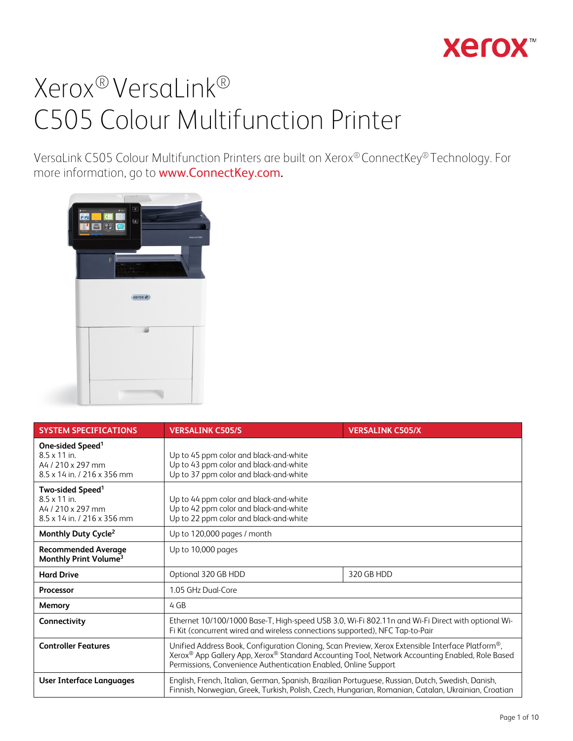

VersaLink C505 Colour Multifunction Printers are built on Xerox® ConnectKey® Technology. For more information, go to www.ConnectKey.com.



| <b>SYSTEM SPECIFICATIONS</b>                                                                                        | <b>VERSALINK C505/S</b>                                                                                                                                                                                                                                                | <b>VERSALINK C505/X</b> |  |
|---------------------------------------------------------------------------------------------------------------------|------------------------------------------------------------------------------------------------------------------------------------------------------------------------------------------------------------------------------------------------------------------------|-------------------------|--|
| One-sided Speed <sup>1</sup><br>$8.5 \times 11$ in.<br>A4 / 210 x 297 mm<br>$8.5 \times 14$ in $1216 \times 356$ mm | Up to 45 ppm color and black-and-white<br>Up to 43 ppm color and black-and-white<br>Up to 37 ppm color and black-and-white                                                                                                                                             |                         |  |
| Two-sided Speed <sup>1</sup><br>$8.5 \times 11$ in.<br>A4 / 210 x 297 mm<br>8.5 x 14 in. / 216 x 356 mm             | Up to 44 ppm color and black-and-white<br>Up to 42 ppm color and black-and-white<br>Up to 22 ppm color and black-and-white                                                                                                                                             |                         |  |
| Monthly Duty Cycle <sup>2</sup>                                                                                     | Up to 120,000 pages / month                                                                                                                                                                                                                                            |                         |  |
| <b>Recommended Average</b><br>Monthly Print Volume <sup>3</sup>                                                     | Up to 10,000 pages                                                                                                                                                                                                                                                     |                         |  |
| <b>Hard Drive</b>                                                                                                   | 320 GB HDD<br>Optional 320 GB HDD                                                                                                                                                                                                                                      |                         |  |
| <b>Processor</b>                                                                                                    | 1.05 GHz Dual-Core                                                                                                                                                                                                                                                     |                         |  |
| Memory                                                                                                              | 4 GB                                                                                                                                                                                                                                                                   |                         |  |
| Connectivity                                                                                                        | Ethernet 10/100/1000 Base-T, High-speed USB 3.0, Wi-Fi 802.11n and Wi-Fi Direct with optional Wi-<br>Fi Kit (concurrent wired and wireless connections supported), NFC Tap-to-Pair                                                                                     |                         |  |
| <b>Controller Features</b>                                                                                          | Unified Address Book, Configuration Cloning, Scan Preview, Xerox Extensible Interface Platform®,<br>Xerox® App Gallery App, Xerox® Standard Accounting Tool, Network Accounting Enabled, Role Based<br>Permissions, Convenience Authentication Enabled, Online Support |                         |  |
| User Interface Languages                                                                                            | English, French, Italian, German, Spanish, Brazilian Portuguese, Russian, Dutch, Swedish, Danish,<br>Finnish, Norwegian, Greek, Turkish, Polish, Czech, Hungarian, Romanian, Catalan, Ukrainian, Croatian                                                              |                         |  |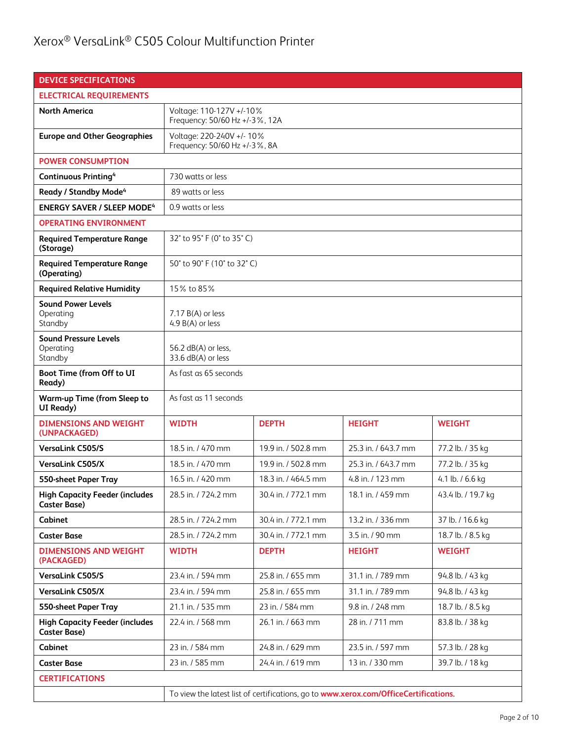| <b>DEVICE SPECIFICATIONS</b>                                 |                                                                                      |                     |                     |                    |
|--------------------------------------------------------------|--------------------------------------------------------------------------------------|---------------------|---------------------|--------------------|
| <b>ELECTRICAL REQUIREMENTS</b>                               |                                                                                      |                     |                     |                    |
| <b>North America</b>                                         | Voltage: 110-127V +/-10%<br>Frequency: 50/60 Hz +/-3%, 12A                           |                     |                     |                    |
| <b>Europe and Other Geographies</b>                          | Voltage: 220-240V +/- 10%<br>Frequency: 50/60 Hz +/-3%, 8A                           |                     |                     |                    |
| <b>POWER CONSUMPTION</b>                                     |                                                                                      |                     |                     |                    |
| <b>Continuous Printing4</b>                                  | 730 watts or less                                                                    |                     |                     |                    |
| Ready / Standby Mode <sup>4</sup>                            | 89 watts or less                                                                     |                     |                     |                    |
| <b>ENERGY SAVER / SLEEP MODE4</b>                            | 0.9 watts or less                                                                    |                     |                     |                    |
| <b>OPERATING ENVIRONMENT</b>                                 |                                                                                      |                     |                     |                    |
| <b>Required Temperature Range</b><br>(Storage)               | 32° to 95° F (0° to 35° C)                                                           |                     |                     |                    |
| <b>Required Temperature Range</b><br>(Operating)             | 50° to 90° F (10° to 32° C)                                                          |                     |                     |                    |
| <b>Required Relative Humidity</b>                            | 15% to 85%                                                                           |                     |                     |                    |
| <b>Sound Power Levels</b><br>Operating<br>Standby            | $7.17 B(A)$ or less<br>4.9 $B(A)$ or less                                            |                     |                     |                    |
| <b>Sound Pressure Levels</b><br>Operating<br>Standby         | 56.2 $dB(A)$ or less.<br>33.6 dB(A) or less                                          |                     |                     |                    |
| Boot Time (from Off to UI<br>Ready)                          | As fast as 65 seconds                                                                |                     |                     |                    |
| <b>Warm-up Time (from Sleep to</b><br>UI Ready)              | As fast as 11 seconds                                                                |                     |                     |                    |
| <b>DIMENSIONS AND WEIGHT</b><br>(UNPACKAGED)                 | <b>WIDTH</b>                                                                         | <b>DEPTH</b>        | <b>HEIGHT</b>       | <b>WEIGHT</b>      |
| <b>VersaLink C505/S</b>                                      | 18.5 in. / 470 mm                                                                    | 19.9 in. / 502.8 mm | 25.3 in. / 643.7 mm | 77.2 lb. / 35 kg   |
| <b>VersaLink C505/X</b>                                      | 18.5 in. / 470 mm                                                                    | 19.9 in. / 502.8 mm | 25.3 in. / 643.7 mm | 77.2 lb. / 35 kg   |
| 550-sheet Paper Tray                                         | 16.5 in. / 420 mm                                                                    | 18.3 in. / 464.5 mm | 4.8 in. / 123 mm    | 4.1 lb. / 6.6 kg   |
| <b>High Capacity Feeder (includes</b><br><b>Caster Base)</b> | 28.5 in. / 724.2 mm                                                                  | 30.4 in. / 772.1 mm | 18.1 in. / 459 mm   | 43.4 lb. / 19.7 kg |
| Cabinet                                                      | 28.5 in. / 724.2 mm                                                                  | 30.4 in. / 772.1 mm | 13.2 in. / 336 mm   | 37 lb. / 16.6 kg   |
| <b>Caster Base</b>                                           | 28.5 in. / 724.2 mm                                                                  | 30.4 in. / 772.1 mm | 3.5 in. / 90 mm     | 18.7 lb. / 8.5 kg  |
| <b>DIMENSIONS AND WEIGHT</b><br>(PACKAGED)                   | <b>WIDTH</b>                                                                         | <b>DEPTH</b>        | <b>HEIGHT</b>       | <b>WEIGHT</b>      |
| <b>VersaLink C505/S</b>                                      | 23.4 in. / 594 mm                                                                    | 25.8 in. / 655 mm   | 31.1 in. / 789 mm   | 94.8 lb. / 43 kg   |
| <b>VersaLink C505/X</b>                                      | 23.4 in. / 594 mm                                                                    | 25.8 in. / 655 mm   | 31.1 in. / 789 mm   | 94.8 lb. / 43 kg   |
| 550-sheet Paper Tray                                         | 21.1 in. / 535 mm                                                                    | 23 in. / 584 mm     | 9.8 in. / 248 mm    | 18.7 lb. / 8.5 kg  |
| <b>High Capacity Feeder (includes</b><br><b>Caster Base)</b> | 22.4 in. / 568 mm<br>26.1 in. / 663 mm<br>28 in. / 711 mm<br>83.8 lb. / 38 kg        |                     |                     |                    |
| Cabinet                                                      | 23 in. / 584 mm                                                                      | 24.8 in. / 629 mm   | 23.5 in. / 597 mm   | 57.3 lb. / 28 kg   |
| <b>Caster Base</b>                                           | 23 in. / 585 mm                                                                      | 24.4 in. / 619 mm   | 13 in. / 330 mm     | 39.7 lb. / 18 kg   |
| <b>CERTIFICATIONS</b>                                        |                                                                                      |                     |                     |                    |
|                                                              | To view the latest list of certifications, go to www.xerox.com/OfficeCertifications. |                     |                     |                    |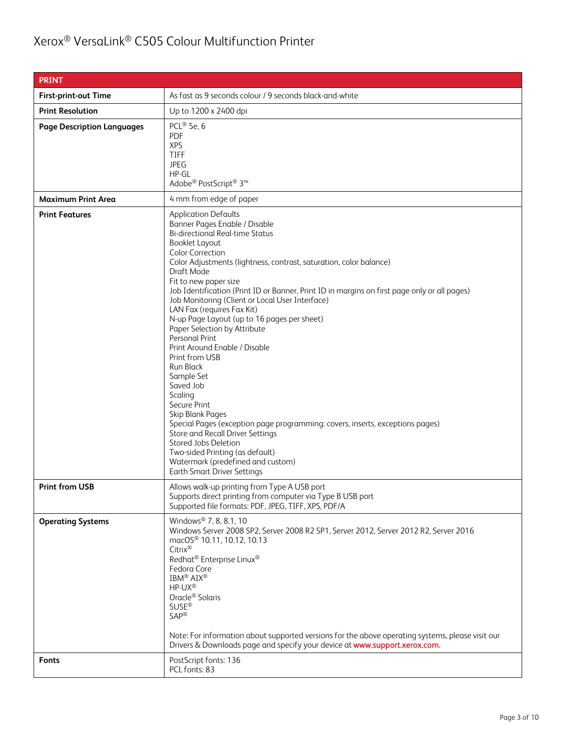| <b>PRINT</b>                      |                                                                                                                                                                                                                                                                                                                                                                                                                                                                                                                                                                                                                                                                                                                                                                                                                                                                                                                                                                              |
|-----------------------------------|------------------------------------------------------------------------------------------------------------------------------------------------------------------------------------------------------------------------------------------------------------------------------------------------------------------------------------------------------------------------------------------------------------------------------------------------------------------------------------------------------------------------------------------------------------------------------------------------------------------------------------------------------------------------------------------------------------------------------------------------------------------------------------------------------------------------------------------------------------------------------------------------------------------------------------------------------------------------------|
| <b>First-print-out Time</b>       | As fast as 9 seconds colour / 9 seconds black-and-white                                                                                                                                                                                                                                                                                                                                                                                                                                                                                                                                                                                                                                                                                                                                                                                                                                                                                                                      |
| <b>Print Resolution</b>           | Up to 1200 x 2400 dpi                                                                                                                                                                                                                                                                                                                                                                                                                                                                                                                                                                                                                                                                                                                                                                                                                                                                                                                                                        |
| <b>Page Description Languages</b> | PCL® 5e, 6<br><b>PDF</b><br><b>XPS</b><br><b>TIFF</b><br><b>JPEG</b><br>$HP - GL$<br>Adobe® PostScript® 3™                                                                                                                                                                                                                                                                                                                                                                                                                                                                                                                                                                                                                                                                                                                                                                                                                                                                   |
| <b>Maximum Print Area</b>         | 4 mm from edge of paper                                                                                                                                                                                                                                                                                                                                                                                                                                                                                                                                                                                                                                                                                                                                                                                                                                                                                                                                                      |
| <b>Print Features</b>             | <b>Application Defaults</b><br>Banner Pages Enable / Disable<br><b>Bi-directional Real-time Status</b><br><b>Booklet Layout</b><br><b>Color Correction</b><br>Color Adjustments (lightness, contrast, saturation, color balance)<br>Draft Mode<br>Fit to new paper size<br>Job Identification (Print ID or Banner, Print ID in margins on first page only or all pages)<br>Job Monitoring (Client or Local User Interface)<br>LAN Fax (requires Fax Kit)<br>N-up Page Layout (up to 16 pages per sheet)<br>Paper Selection by Attribute<br><b>Personal Print</b><br>Print Around Enable / Disable<br>Print from USB<br><b>Run Black</b><br>Sample Set<br>Saved Job<br>Scaling<br>Secure Print<br>Skip Blank Pages<br>Special Pages (exception page programming: covers, inserts, exceptions pages)<br>Store and Recall Driver Settings<br>Stored Jobs Deletion<br>Two-sided Printing (as default)<br>Watermark (predefined and custom)<br><b>Earth Smart Driver Settings</b> |
| <b>Print from USB</b>             | Allows walk-up printing from Type A USB port<br>Supports direct printing from computer via Type B USB port<br>Supported file formats: PDF, JPEG, TIFF, XPS, PDF/A                                                                                                                                                                                                                                                                                                                                                                                                                                                                                                                                                                                                                                                                                                                                                                                                            |
| <b>Operating Systems</b>          | Windows <sup>®</sup> 7, 8, 8.1, 10<br>Windows Server 2008 SP2, Server 2008 R2 SP1, Server 2012, Server 2012 R2, Server 2016<br>macOS <sup>®</sup> 10.11, 10.12, 10.13<br>Citrix®<br>Redhat® Enterprise Linux®<br>Fedora Core<br>IBM <sup>®</sup> AIX <sup>®</sup><br>HP-UX®<br>Oracle <sup>®</sup> Solaris<br><b>SUSE®</b><br><b>SAP®</b><br>Note: For information about supported versions for the above operating systems, please visit our<br>Drivers & Downloads page and specify your device at www.support.xerox.com.                                                                                                                                                                                                                                                                                                                                                                                                                                                  |
| <b>Fonts</b>                      | PostScript fonts: 136<br>PCL fonts: 83                                                                                                                                                                                                                                                                                                                                                                                                                                                                                                                                                                                                                                                                                                                                                                                                                                                                                                                                       |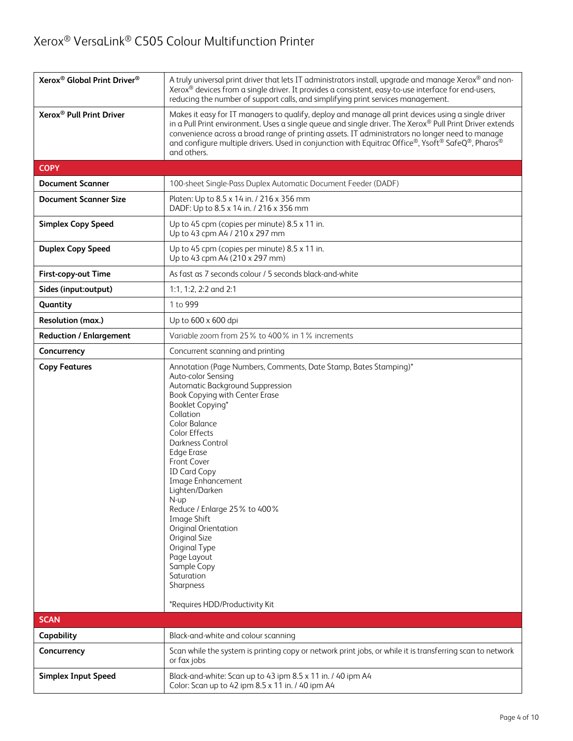| Xerox <sup>®</sup> Global Print Driver <sup>®</sup> | A truly universal print driver that lets IT administrators install, upgrade and manage Xerox® and non-<br>Xerox® devices from a single driver. It provides a consistent, easy-to-use interface for end-users,<br>reducing the number of support calls, and simplifying print services management.                                                                                                                                                                                                                                                                               |  |
|-----------------------------------------------------|---------------------------------------------------------------------------------------------------------------------------------------------------------------------------------------------------------------------------------------------------------------------------------------------------------------------------------------------------------------------------------------------------------------------------------------------------------------------------------------------------------------------------------------------------------------------------------|--|
| Xerox <sup>®</sup> Pull Print Driver                | Makes it easy for IT managers to qualify, deploy and manage all print devices using a single driver<br>in a Pull Print environment. Uses a single queue and single driver. The Xerox® Pull Print Driver extends<br>convenience across a broad range of printing assets. IT administrators no longer need to manage<br>and configure multiple drivers. Used in conjunction with Equitrac Office®, Ysoft® SafeQ®, Pharos®<br>and others.                                                                                                                                          |  |
| <b>COPY</b>                                         |                                                                                                                                                                                                                                                                                                                                                                                                                                                                                                                                                                                 |  |
| <b>Document Scanner</b>                             | 100-sheet Single-Pass Duplex Automatic Document Feeder (DADF)                                                                                                                                                                                                                                                                                                                                                                                                                                                                                                                   |  |
| <b>Document Scanner Size</b>                        | Platen: Up to 8.5 x 14 in. / 216 x 356 mm<br>DADF: Up to 8.5 x 14 in. / 216 x 356 mm                                                                                                                                                                                                                                                                                                                                                                                                                                                                                            |  |
| <b>Simplex Copy Speed</b>                           | Up to 45 cpm (copies per minute) 8.5 x 11 in.<br>Up to 43 cpm A4 / 210 x 297 mm                                                                                                                                                                                                                                                                                                                                                                                                                                                                                                 |  |
| <b>Duplex Copy Speed</b>                            | Up to 45 cpm (copies per minute) 8.5 x 11 in.<br>Up to 43 cpm A4 (210 x 297 mm)                                                                                                                                                                                                                                                                                                                                                                                                                                                                                                 |  |
| First-copy-out Time                                 | As fast as 7 seconds colour / 5 seconds black-and-white                                                                                                                                                                                                                                                                                                                                                                                                                                                                                                                         |  |
| Sides (input:output)                                | 1:1, 1:2, 2:2 and 2:1                                                                                                                                                                                                                                                                                                                                                                                                                                                                                                                                                           |  |
| Quantity                                            | 1 to 999                                                                                                                                                                                                                                                                                                                                                                                                                                                                                                                                                                        |  |
| <b>Resolution (max.)</b>                            | Up to 600 x 600 dpi                                                                                                                                                                                                                                                                                                                                                                                                                                                                                                                                                             |  |
| <b>Reduction / Enlargement</b>                      | Variable zoom from 25% to 400% in 1% increments                                                                                                                                                                                                                                                                                                                                                                                                                                                                                                                                 |  |
| Concurrency                                         | Concurrent scanning and printing                                                                                                                                                                                                                                                                                                                                                                                                                                                                                                                                                |  |
| <b>Copy Features</b>                                | Annotation (Page Numbers, Comments, Date Stamp, Bates Stamping)*<br>Auto-color Sensing<br>Automatic Background Suppression<br>Book Copying with Center Erase<br>Booklet Copying*<br>Collation<br>Color Balance<br>Color Effects<br><b>Darkness Control</b><br><b>Edge Erase</b><br><b>Front Cover</b><br><b>ID Card Copy</b><br>Image Enhancement<br>Lighten/Darken<br>N-up<br>Reduce / Enlarge 25% to 400%<br>Image Shift<br>Original Orientation<br>Original Size<br>Original Type<br>Page Layout<br>Sample Copy<br>Saturation<br>Sharpness<br>*Requires HDD/Productivity Kit |  |
| <b>SCAN</b>                                         |                                                                                                                                                                                                                                                                                                                                                                                                                                                                                                                                                                                 |  |
| Capability                                          | Black-and-white and colour scanning                                                                                                                                                                                                                                                                                                                                                                                                                                                                                                                                             |  |
| Concurrency                                         | Scan while the system is printing copy or network print jobs, or while it is transferring scan to network<br>or fax jobs                                                                                                                                                                                                                                                                                                                                                                                                                                                        |  |
| <b>Simplex Input Speed</b>                          | Black-and-white: Scan up to 43 ipm 8.5 x 11 in. / 40 ipm A4<br>Color: Scan up to 42 ipm 8.5 x 11 in. / 40 ipm A4                                                                                                                                                                                                                                                                                                                                                                                                                                                                |  |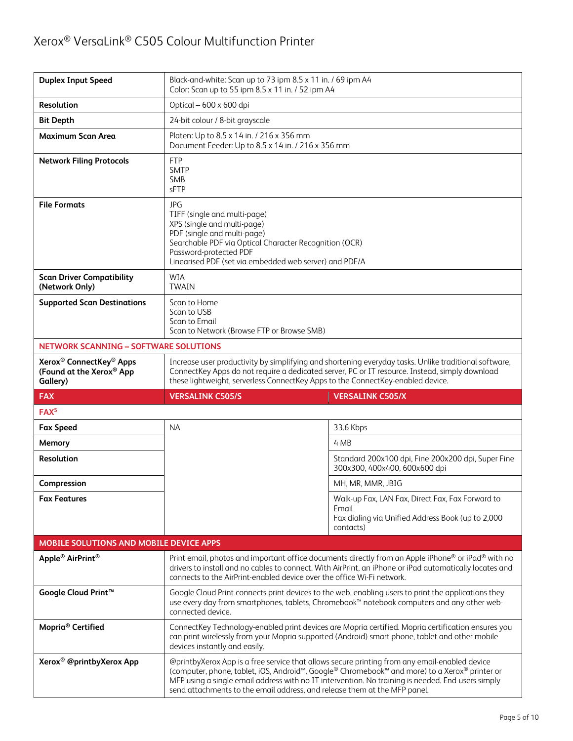| <b>Duplex Input Speed</b>                                                               | Black-and-white: Scan up to 73 ipm 8.5 x 11 in. / 69 ipm A4<br>Color: Scan up to 55 ipm 8.5 x 11 in. / 52 ipm A4                                                                                                                                                                           |                                                                                                                                                                                                               |  |
|-----------------------------------------------------------------------------------------|--------------------------------------------------------------------------------------------------------------------------------------------------------------------------------------------------------------------------------------------------------------------------------------------|---------------------------------------------------------------------------------------------------------------------------------------------------------------------------------------------------------------|--|
| <b>Resolution</b>                                                                       | Optical - 600 x 600 dpi                                                                                                                                                                                                                                                                    |                                                                                                                                                                                                               |  |
| <b>Bit Depth</b>                                                                        | 24-bit colour / 8-bit grayscale                                                                                                                                                                                                                                                            |                                                                                                                                                                                                               |  |
| <b>Maximum Scan Area</b>                                                                | Platen: Up to 8.5 x 14 in. / 216 x 356 mm<br>Document Feeder: Up to 8.5 x 14 in. / 216 x 356 mm                                                                                                                                                                                            |                                                                                                                                                                                                               |  |
| <b>Network Filing Protocols</b>                                                         | <b>FTP</b><br><b>SMTP</b><br><b>SMB</b><br>sFTP                                                                                                                                                                                                                                            |                                                                                                                                                                                                               |  |
| <b>File Formats</b>                                                                     | JPG<br>TIFF (single and multi-page)<br>XPS (single and multi-page)<br>PDF (single and multi-page)<br>Searchable PDF via Optical Character Recognition (OCR)<br>Password-protected PDF<br>Linearised PDF (set via embedded web server) and PDF/A                                            |                                                                                                                                                                                                               |  |
| <b>Scan Driver Compatibility</b><br>(Network Only)                                      | <b>WIA</b><br><b>TWAIN</b>                                                                                                                                                                                                                                                                 |                                                                                                                                                                                                               |  |
| <b>Supported Scan Destinations</b>                                                      | Scan to Home<br>Scan to USB<br>Scan to Email<br>Scan to Network (Browse FTP or Browse SMB)                                                                                                                                                                                                 |                                                                                                                                                                                                               |  |
| <b>NETWORK SCANNING - SOFTWARE SOLUTIONS</b>                                            |                                                                                                                                                                                                                                                                                            |                                                                                                                                                                                                               |  |
| Xerox <sup>®</sup> ConnectKey <sup>®</sup> Apps<br>(Found at the Xerox® App<br>Gallery) | Increase user productivity by simplifying and shortening everyday tasks. Unlike traditional software,<br>ConnectKey Apps do not require a dedicated server, PC or IT resource. Instead, simply download<br>these lightweight, serverless ConnectKey Apps to the ConnectKey-enabled device. |                                                                                                                                                                                                               |  |
|                                                                                         |                                                                                                                                                                                                                                                                                            |                                                                                                                                                                                                               |  |
| <b>FAX</b>                                                                              | <b>VERSALINK C505/S</b>                                                                                                                                                                                                                                                                    | <b>VERSALINK C505/X</b>                                                                                                                                                                                       |  |
| FAX <sup>5</sup>                                                                        |                                                                                                                                                                                                                                                                                            |                                                                                                                                                                                                               |  |
| <b>Fax Speed</b>                                                                        | <b>NA</b>                                                                                                                                                                                                                                                                                  | 33.6 Kbps                                                                                                                                                                                                     |  |
| Memory                                                                                  |                                                                                                                                                                                                                                                                                            | 4 MB                                                                                                                                                                                                          |  |
| <b>Resolution</b>                                                                       |                                                                                                                                                                                                                                                                                            | Standard 200x100 dpi, Fine 200x200 dpi, Super Fine<br>300x300, 400x400, 600x600 dpi                                                                                                                           |  |
| Compression                                                                             |                                                                                                                                                                                                                                                                                            | MH, MR, MMR, JBIG                                                                                                                                                                                             |  |
| <b>Fax Features</b>                                                                     |                                                                                                                                                                                                                                                                                            | Walk-up Fax, LAN Fax, Direct Fax, Fax Forward to<br>Email                                                                                                                                                     |  |
|                                                                                         |                                                                                                                                                                                                                                                                                            | Fax dialing via Unified Address Book (up to 2,000<br>contacts)                                                                                                                                                |  |
| MOBILE SOLUTIONS AND MOBILE DEVICE APPS                                                 |                                                                                                                                                                                                                                                                                            |                                                                                                                                                                                                               |  |
| Apple <sup>®</sup> AirPrint <sup>®</sup>                                                | connects to the AirPrint-enabled device over the office Wi-Fi network.                                                                                                                                                                                                                     | Print email, photos and important office documents directly from an Apple iPhone® or iPad® with no<br>drivers to install and no cables to connect. With AirPrint, an iPhone or iPad automatically locates and |  |
| Google Cloud Print <sup>™</sup>                                                         | connected device.                                                                                                                                                                                                                                                                          | Google Cloud Print connects print devices to the web, enabling users to print the applications they<br>use every day from smartphones, tablets, Chromebook™ notebook computers and any other web-             |  |
| Mopria <sup>®</sup> Certified                                                           | devices instantly and easily.                                                                                                                                                                                                                                                              | ConnectKey Technology-enabled print devices are Mopria certified. Mopria certification ensures you<br>can print wirelessly from your Mopria supported (Android) smart phone, tablet and other mobile          |  |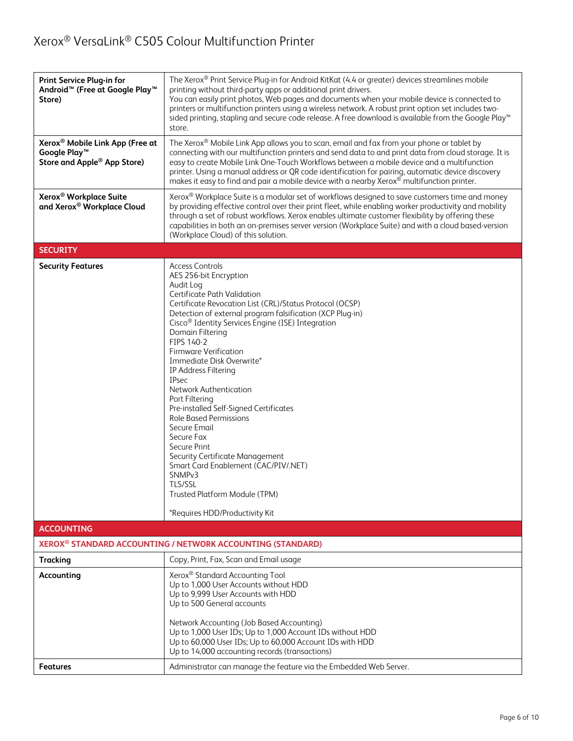| Print Service Plug-in for<br>Android <sup>™</sup> (Free at Google Play <sup>™</sup><br>Store)                      | The Xerox® Print Service Plug-in for Android KitKat (4.4 or greater) devices streamlines mobile<br>printing without third-party apps or additional print drivers.<br>You can easily print photos, Web pages and documents when your mobile device is connected to<br>printers or multifunction printers using a wireless network. A robust print option set includes two-<br>sided printing, stapling and secure code release. A free download is available from the Google Play™<br>store.                                                                                                                                                                                                                                                                                       |  |
|--------------------------------------------------------------------------------------------------------------------|-----------------------------------------------------------------------------------------------------------------------------------------------------------------------------------------------------------------------------------------------------------------------------------------------------------------------------------------------------------------------------------------------------------------------------------------------------------------------------------------------------------------------------------------------------------------------------------------------------------------------------------------------------------------------------------------------------------------------------------------------------------------------------------|--|
| Xerox <sup>®</sup> Mobile Link App (Free at<br>Google Play <sup>™</sup><br>Store and Apple <sup>®</sup> App Store) | The Xerox® Mobile Link App allows you to scan, email and fax from your phone or tablet by<br>connecting with our multifunction printers and send data to and print data from cloud storage. It is<br>easy to create Mobile Link One-Touch Workflows between a mobile device and a multifunction<br>printer. Using a manual address or QR code identification for pairing, automatic device discovery<br>makes it easy to find and pair a mobile device with a nearby Xerox® multifunction printer.                                                                                                                                                                                                                                                                                |  |
| Xerox <sup>®</sup> Workplace Suite<br>and Xerox® Workplace Cloud                                                   | Xerox <sup>®</sup> Workplace Suite is a modular set of workflows designed to save customers time and money<br>by providing effective control over their print fleet, while enabling worker productivity and mobility<br>through a set of robust workflows. Xerox enables ultimate customer flexibility by offering these<br>capabilities in both an on-premises server version (Workplace Suite) and with a cloud based-version<br>(Workplace Cloud) of this solution.                                                                                                                                                                                                                                                                                                            |  |
| <b>SECURITY</b>                                                                                                    |                                                                                                                                                                                                                                                                                                                                                                                                                                                                                                                                                                                                                                                                                                                                                                                   |  |
| <b>Security Features</b>                                                                                           | <b>Access Controls</b><br>AES 256-bit Encryption<br>Audit Log<br>Certificate Path Validation<br>Certificate Revocation List (CRL)/Status Protocol (OCSP)<br>Detection of external program falsification (XCP Plug-in)<br>Cisco <sup>®</sup> Identity Services Engine (ISE) Integration<br>Domain Filtering<br>FIPS 140-2<br><b>Firmware Verification</b><br>Immediate Disk Overwrite*<br>IP Address Filtering<br><b>IPsec</b><br>Network Authentication<br>Port Filtering<br>Pre-installed Self-Signed Certificates<br><b>Role Based Permissions</b><br>Secure Email<br>Secure Fax<br>Secure Print<br>Security Certificate Management<br>Smart Card Enablement (CAC/PIV/.NET)<br>SNMP <sub>v3</sub><br>TLS/SSL<br>Trusted Platform Module (TPM)<br>*Requires HDD/Productivity Kit |  |
| <b>ACCOUNTING</b>                                                                                                  |                                                                                                                                                                                                                                                                                                                                                                                                                                                                                                                                                                                                                                                                                                                                                                                   |  |
|                                                                                                                    | XEROX <sup>®</sup> STANDARD ACCOUNTING / NETWORK ACCOUNTING (STANDARD)                                                                                                                                                                                                                                                                                                                                                                                                                                                                                                                                                                                                                                                                                                            |  |
| <b>Tracking</b>                                                                                                    | Copy, Print, Fax, Scan and Email usage                                                                                                                                                                                                                                                                                                                                                                                                                                                                                                                                                                                                                                                                                                                                            |  |
| Accounting                                                                                                         | Xerox <sup>®</sup> Standard Accounting Tool<br>Up to 1,000 User Accounts without HDD<br>Up to 9,999 User Accounts with HDD<br>Up to 500 General accounts<br>Network Accounting (Job Based Accounting)<br>Up to 1,000 User IDs; Up to 1,000 Account IDs without HDD                                                                                                                                                                                                                                                                                                                                                                                                                                                                                                                |  |
|                                                                                                                    | Up to 60,000 User IDs; Up to 60,000 Account IDs with HDD<br>Up to 14,000 accounting records (transactions)                                                                                                                                                                                                                                                                                                                                                                                                                                                                                                                                                                                                                                                                        |  |
| <b>Features</b>                                                                                                    | Administrator can manage the feature via the Embedded Web Server.                                                                                                                                                                                                                                                                                                                                                                                                                                                                                                                                                                                                                                                                                                                 |  |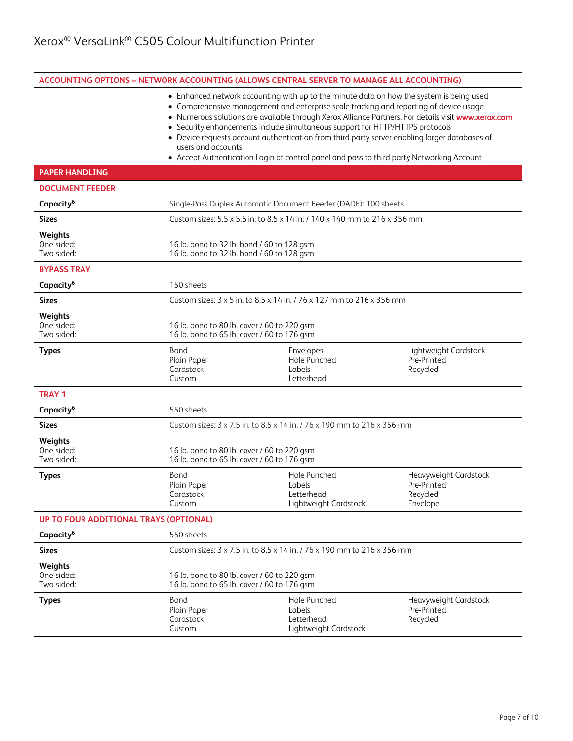|                                     |                                                                                            | ACCOUNTING OPTIONS - NETWORK ACCOUNTING (ALLOWS CENTRAL SERVER TO MANAGE ALL ACCOUNTING)                                                                                                                                                                                                                                                                                                                                                                                                                                                                                 |                                                              |
|-------------------------------------|--------------------------------------------------------------------------------------------|--------------------------------------------------------------------------------------------------------------------------------------------------------------------------------------------------------------------------------------------------------------------------------------------------------------------------------------------------------------------------------------------------------------------------------------------------------------------------------------------------------------------------------------------------------------------------|--------------------------------------------------------------|
|                                     | users and accounts                                                                         | • Enhanced network accounting with up to the minute data on how the system is being used<br>• Comprehensive management and enterprise scale tracking and reporting of device usage<br>• Numerous solutions are available through Xerox Alliance Partners. For details visit www.xerox.com<br>• Security enhancements include simultaneous support for HTTP/HTTPS protocols<br>• Device requests account authentication from third party server enabling larger databases of<br>• Accept Authentication Login at control panel and pass to third party Networking Account |                                                              |
| <b>PAPER HANDLING</b>               |                                                                                            |                                                                                                                                                                                                                                                                                                                                                                                                                                                                                                                                                                          |                                                              |
| <b>DOCUMENT FEEDER</b>              |                                                                                            |                                                                                                                                                                                                                                                                                                                                                                                                                                                                                                                                                                          |                                                              |
| Capacity <sup>6</sup>               |                                                                                            | Single-Pass Duplex Automatic Document Feeder (DADF): 100 sheets                                                                                                                                                                                                                                                                                                                                                                                                                                                                                                          |                                                              |
| <b>Sizes</b>                        |                                                                                            | Custom sizes: 5.5 x 5.5 in. to 8.5 x 14 in. / 140 x 140 mm to 216 x 356 mm                                                                                                                                                                                                                                                                                                                                                                                                                                                                                               |                                                              |
| Weights<br>One-sided:<br>Two-sided: |                                                                                            | 16 lb. bond to 32 lb. bond / 60 to 128 gsm<br>16 lb. bond to 32 lb. bond / 60 to 128 gsm                                                                                                                                                                                                                                                                                                                                                                                                                                                                                 |                                                              |
| <b>BYPASS TRAY</b>                  |                                                                                            |                                                                                                                                                                                                                                                                                                                                                                                                                                                                                                                                                                          |                                                              |
| Capacity <sup>6</sup>               | 150 sheets                                                                                 |                                                                                                                                                                                                                                                                                                                                                                                                                                                                                                                                                                          |                                                              |
| <b>Sizes</b>                        |                                                                                            | Custom sizes: 3 x 5 in. to 8.5 x 14 in. / 76 x 127 mm to 216 x 356 mm                                                                                                                                                                                                                                                                                                                                                                                                                                                                                                    |                                                              |
| Weights<br>One-sided:<br>Two-sided: |                                                                                            | 16 lb. bond to 80 lb. cover / 60 to 220 gsm<br>16 lb. bond to 65 lb. cover / 60 to 176 gsm                                                                                                                                                                                                                                                                                                                                                                                                                                                                               |                                                              |
| <b>Types</b>                        | Bond<br>Plain Paper<br>Cardstock<br>Custom                                                 | Envelopes<br>Hole Punched<br>Labels<br>Letterhead                                                                                                                                                                                                                                                                                                                                                                                                                                                                                                                        | Lightweight Cardstock<br>Pre-Printed<br>Recycled             |
| <b>TRAY 1</b>                       |                                                                                            |                                                                                                                                                                                                                                                                                                                                                                                                                                                                                                                                                                          |                                                              |
| Capacity <sup>6</sup>               | 550 sheets                                                                                 |                                                                                                                                                                                                                                                                                                                                                                                                                                                                                                                                                                          |                                                              |
| <b>Sizes</b>                        |                                                                                            | Custom sizes: 3 x 7.5 in. to 8.5 x 14 in. / 76 x 190 mm to 216 x 356 mm                                                                                                                                                                                                                                                                                                                                                                                                                                                                                                  |                                                              |
| Weights<br>One-sided:<br>Two-sided: | 16 lb. bond to 80 lb. cover / 60 to 220 gsm<br>16 lb. bond to 65 lb. cover / 60 to 176 gsm |                                                                                                                                                                                                                                                                                                                                                                                                                                                                                                                                                                          |                                                              |
| <b>Types</b>                        | Bond<br>Plain Paper<br>Cardstock<br>Custom                                                 | Hole Punched<br><b>Labels</b><br>Letterhead<br>Lightweight Cardstock                                                                                                                                                                                                                                                                                                                                                                                                                                                                                                     | Heavyweight Cardstock<br>Pre-Printed<br>Recycled<br>Envelope |
|                                     | UP TO FOUR ADDITIONAL TRAYS (OPTIONAL)                                                     |                                                                                                                                                                                                                                                                                                                                                                                                                                                                                                                                                                          |                                                              |
| Capacity <sup>6</sup>               | 550 sheets                                                                                 |                                                                                                                                                                                                                                                                                                                                                                                                                                                                                                                                                                          |                                                              |
| <b>Sizes</b>                        |                                                                                            | Custom sizes: 3 x 7.5 in. to 8.5 x 14 in. / 76 x 190 mm to 216 x 356 mm                                                                                                                                                                                                                                                                                                                                                                                                                                                                                                  |                                                              |
| Weights<br>One-sided:<br>Two-sided: | 16 lb. bond to 80 lb. cover / 60 to 220 gsm<br>16 lb. bond to 65 lb. cover / 60 to 176 gsm |                                                                                                                                                                                                                                                                                                                                                                                                                                                                                                                                                                          |                                                              |
| <b>Types</b>                        | Bond<br>Plain Paper<br>Cardstock<br>Custom                                                 | Hole Punched<br>Labels<br>Letterhead<br>Lightweight Cardstock                                                                                                                                                                                                                                                                                                                                                                                                                                                                                                            | Heavyweight Cardstock<br>Pre-Printed<br>Recycled             |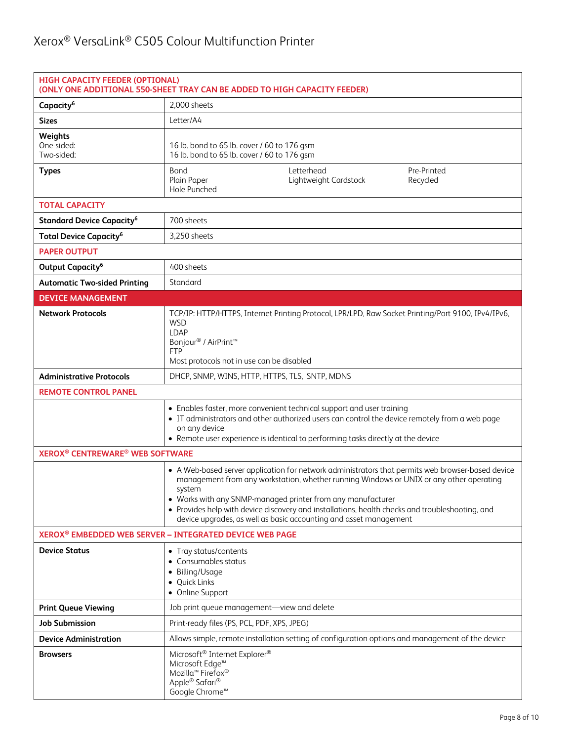| <b>HIGH CAPACITY FEEDER (OPTIONAL)</b><br>(ONLY ONE ADDITIONAL 550-SHEET TRAY CAN BE ADDED TO HIGH CAPACITY FEEDER) |                                                                                                                                                                                                                                                                                                                                                                                                                                               |  |  |
|---------------------------------------------------------------------------------------------------------------------|-----------------------------------------------------------------------------------------------------------------------------------------------------------------------------------------------------------------------------------------------------------------------------------------------------------------------------------------------------------------------------------------------------------------------------------------------|--|--|
| Capacity <sup>6</sup>                                                                                               | 2,000 sheets                                                                                                                                                                                                                                                                                                                                                                                                                                  |  |  |
| <b>Sizes</b>                                                                                                        | Letter/A4                                                                                                                                                                                                                                                                                                                                                                                                                                     |  |  |
| Weights<br>One-sided:<br>Two-sided:                                                                                 | 16 lb. bond to 65 lb. cover / 60 to 176 gsm<br>16 lb. bond to 65 lb. cover / 60 to 176 gsm                                                                                                                                                                                                                                                                                                                                                    |  |  |
| <b>Types</b>                                                                                                        | Bond<br>Letterhead<br>Pre-Printed<br>Plain Paper<br>Lightweight Cardstock<br>Recycled<br>Hole Punched                                                                                                                                                                                                                                                                                                                                         |  |  |
| <b>TOTAL CAPACITY</b>                                                                                               |                                                                                                                                                                                                                                                                                                                                                                                                                                               |  |  |
| <b>Standard Device Capacity<sup>6</sup></b>                                                                         | 700 sheets                                                                                                                                                                                                                                                                                                                                                                                                                                    |  |  |
| <b>Total Device Capacity<sup>6</sup></b>                                                                            | 3,250 sheets                                                                                                                                                                                                                                                                                                                                                                                                                                  |  |  |
| <b>PAPER OUTPUT</b>                                                                                                 |                                                                                                                                                                                                                                                                                                                                                                                                                                               |  |  |
| Output Capacity <sup>6</sup>                                                                                        | 400 sheets                                                                                                                                                                                                                                                                                                                                                                                                                                    |  |  |
| <b>Automatic Two-sided Printing</b>                                                                                 | Standard                                                                                                                                                                                                                                                                                                                                                                                                                                      |  |  |
| <b>DEVICE MANAGEMENT</b>                                                                                            |                                                                                                                                                                                                                                                                                                                                                                                                                                               |  |  |
| <b>Network Protocols</b>                                                                                            | TCP/IP: HTTP/HTTPS, Internet Printing Protocol, LPR/LPD, Raw Socket Printing/Port 9100, IPv4/IPv6,<br><b>WSD</b><br>LDAP<br>Bonjour <sup>®</sup> / AirPrint <sup>™</sup><br><b>FTP</b><br>Most protocols not in use can be disabled                                                                                                                                                                                                           |  |  |
| <b>Administrative Protocols</b>                                                                                     | DHCP, SNMP, WINS, HTTP, HTTPS, TLS, SNTP, MDNS                                                                                                                                                                                                                                                                                                                                                                                                |  |  |
| <b>REMOTE CONTROL PANEL</b>                                                                                         |                                                                                                                                                                                                                                                                                                                                                                                                                                               |  |  |
|                                                                                                                     | • Enables faster, more convenient technical support and user training<br>• IT administrators and other authorized users can control the device remotely from a web page<br>on any device<br>• Remote user experience is identical to performing tasks directly at the device                                                                                                                                                                  |  |  |
| <b>XEROX<sup>®</sup> CENTREWARE<sup>®</sup> WEB SOFTWARE</b>                                                        |                                                                                                                                                                                                                                                                                                                                                                                                                                               |  |  |
|                                                                                                                     | • A Web-based server application for network administrators that permits web browser-based device<br>management from any workstation, whether running Windows or UNIX or any other operating<br>system<br>• Works with any SNMP-managed printer from any manufacturer<br>• Provides help with device discovery and installations, health checks and troubleshooting, and<br>device upgrades, as well as basic accounting and asset management |  |  |
| XEROX <sup>®</sup> EMBEDDED WEB SERVER - INTEGRATED DEVICE WEB PAGE                                                 |                                                                                                                                                                                                                                                                                                                                                                                                                                               |  |  |
| <b>Device Status</b>                                                                                                | • Tray status/contents<br>• Consumables status<br>• Billing/Usage<br>• Quick Links<br>• Online Support                                                                                                                                                                                                                                                                                                                                        |  |  |
| <b>Print Queue Viewing</b>                                                                                          | Job print queue management-view and delete                                                                                                                                                                                                                                                                                                                                                                                                    |  |  |
| Job Submission                                                                                                      | Print-ready files (PS, PCL, PDF, XPS, JPEG)                                                                                                                                                                                                                                                                                                                                                                                                   |  |  |
| <b>Device Administration</b>                                                                                        | Allows simple, remote installation setting of configuration options and management of the device                                                                                                                                                                                                                                                                                                                                              |  |  |
| <b>Browsers</b>                                                                                                     | Microsoft <sup>®</sup> Internet Explorer <sup>®</sup><br>Microsoft Edge <sup>™</sup><br>Mozilla <sup>™</sup> Firefox <sup>®</sup><br>Apple® Safari®<br>Google Chrome <sup>™</sup>                                                                                                                                                                                                                                                             |  |  |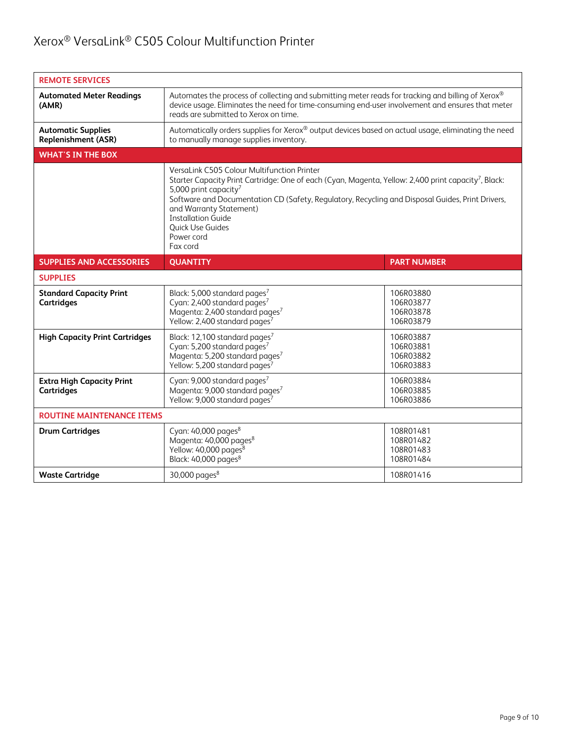| <b>REMOTE SERVICES</b>                                  |                                                                                                                                                                                                                                                                                                                                                                                                                |                                                  |  |
|---------------------------------------------------------|----------------------------------------------------------------------------------------------------------------------------------------------------------------------------------------------------------------------------------------------------------------------------------------------------------------------------------------------------------------------------------------------------------------|--------------------------------------------------|--|
| <b>Automated Meter Readings</b><br>(AMR)                | Automates the process of collecting and submitting meter reads for tracking and billing of Xerox®<br>device usage. Eliminates the need for time-consuming end-user involvement and ensures that meter<br>reads are submitted to Xerox on time.                                                                                                                                                                 |                                                  |  |
| <b>Automatic Supplies</b><br><b>Replenishment (ASR)</b> | Automatically orders supplies for Xerox® output devices based on actual usage, eliminating the need<br>to manually manage supplies inventory.                                                                                                                                                                                                                                                                  |                                                  |  |
| <b>WHAT'S IN THE BOX</b>                                |                                                                                                                                                                                                                                                                                                                                                                                                                |                                                  |  |
|                                                         | VersaLink C505 Colour Multifunction Printer<br>Starter Capacity Print Cartridge: One of each (Cyan, Magenta, Yellow: 2,400 print capacity <sup>7</sup> , Black:<br>5,000 print capacity <sup>7</sup><br>Software and Documentation CD (Safety, Regulatory, Recycling and Disposal Guides, Print Drivers,<br>and Warranty Statement)<br><b>Installation Guide</b><br>Quick Use Guides<br>Power cord<br>Fax cord |                                                  |  |
| <b>SUPPLIES AND ACCESSORIES</b>                         | <b>QUANTITY</b>                                                                                                                                                                                                                                                                                                                                                                                                | <b>PART NUMBER</b>                               |  |
| <b>SUPPLIES</b>                                         |                                                                                                                                                                                                                                                                                                                                                                                                                |                                                  |  |
| <b>Standard Capacity Print</b><br><b>Cartridges</b>     | Black: 5,000 standard pages <sup>7</sup><br>Cyan: 2,400 standard pages <sup>7</sup><br>Magenta: 2,400 standard pages <sup>7</sup><br>Yellow: 2,400 standard pages <sup>7</sup>                                                                                                                                                                                                                                 | 106R03880<br>106R03877<br>106R03878<br>106R03879 |  |
| <b>High Capacity Print Cartridges</b>                   | Black: 12,100 standard pages <sup>7</sup><br>Cyan: 5,200 standard pages <sup>7</sup><br>Magenta: 5,200 standard pages <sup>7</sup><br>Yellow: 5,200 standard pages <sup>7</sup>                                                                                                                                                                                                                                | 106R03887<br>106R03881<br>106R03882<br>106R03883 |  |
| <b>Extra High Capacity Print</b><br><b>Cartridges</b>   | Cyan: 9,000 standard pages <sup>7</sup><br>Magenta: 9,000 standard pages <sup>7</sup><br>Yellow: 9,000 standard pages <sup>7</sup>                                                                                                                                                                                                                                                                             | 106R03884<br>106R03885<br>106R03886              |  |
| <b>ROUTINE MAINTENANCE ITEMS</b>                        |                                                                                                                                                                                                                                                                                                                                                                                                                |                                                  |  |
| <b>Drum Cartridges</b>                                  | Cyan: 40,000 pages <sup>8</sup><br>Magenta: 40,000 pages <sup>8</sup><br>Yellow: 40,000 pages <sup>8</sup><br>Black: 40,000 pages <sup>8</sup>                                                                                                                                                                                                                                                                 | 108R01481<br>108R01482<br>108R01483<br>108R01484 |  |
| <b>Waste Cartridge</b>                                  | 30,000 pages $8$                                                                                                                                                                                                                                                                                                                                                                                               | 108R01416                                        |  |